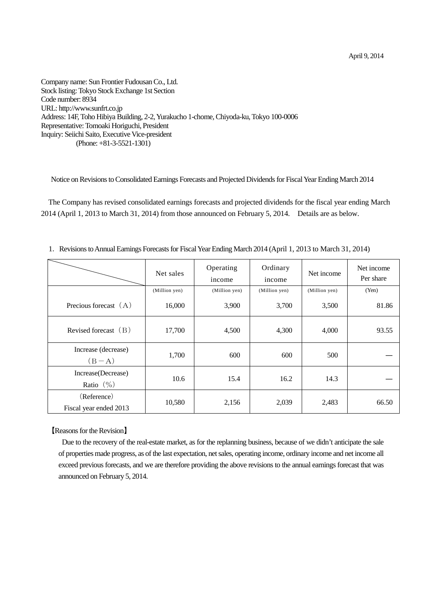April 9, 2014

Company name: Sun Frontier Fudousan Co., Ltd. Stock listing: Tokyo Stock Exchange 1st Section Code number: 8934 URL: http://www.sunfrt.co.jp Address: 14F, Toho Hibiya Building, 2-2, Yurakucho 1-chome, Chiyoda-ku, Tokyo 100-0006 Representative: Tomoaki Horiguchi, President Inquiry: Seiichi Saito, Executive Vice-president (Phone: +81-3-5521-1301)

Notice on Revisions to Consolidated Earnings Forecasts and Projected Dividends for Fiscal Year Ending March 2014

The Company has revised consolidated earnings forecasts and projected dividends for the fiscal year ending March 2014 (April 1, 2013 to March 31, 2014) from those announced on February 5, 2014. Details are as below.

|                                       | Net sales     | Operating<br>income | Ordinary<br>income | Net income    | Net income<br>Per share |
|---------------------------------------|---------------|---------------------|--------------------|---------------|-------------------------|
|                                       | (Million yen) | (Million yen)       | (Million yen)      | (Million yen) | (Yen)                   |
| Precious forecast $(A)$               | 16,000        | 3,900               | 3,700              | 3,500         | 81.86                   |
| Revised forecast $(B)$                | 17,700        | 4,500               | 4,300              | 4,000         | 93.55                   |
| Increase (decrease)<br>$(B-A)$        | 1,700         | 600                 | 600                | 500           |                         |
| Increase(Decrease)<br>Ratio $(\% )$   | 10.6          | 15.4                | 16.2               | 14.3          |                         |
| (Reference)<br>Fiscal year ended 2013 | 10,580        | 2,156               | 2,039              | 2,483         | 66.50                   |

1.Revisions to Annual Earnings Forecasts for Fiscal Year Ending March 2014 (April 1, 2013 to March 31, 2014)

【Reasons for the Revision】

Due to the recovery of the real-estate market, as for the replanning business, because of we didn't anticipate the sale of properties made progress, as of the last expectation, net sales, operating income, ordinary income and net income all exceed previous forecasts, and we are therefore providing the above revisions to the annual earnings forecast that was announced on February 5, 2014.